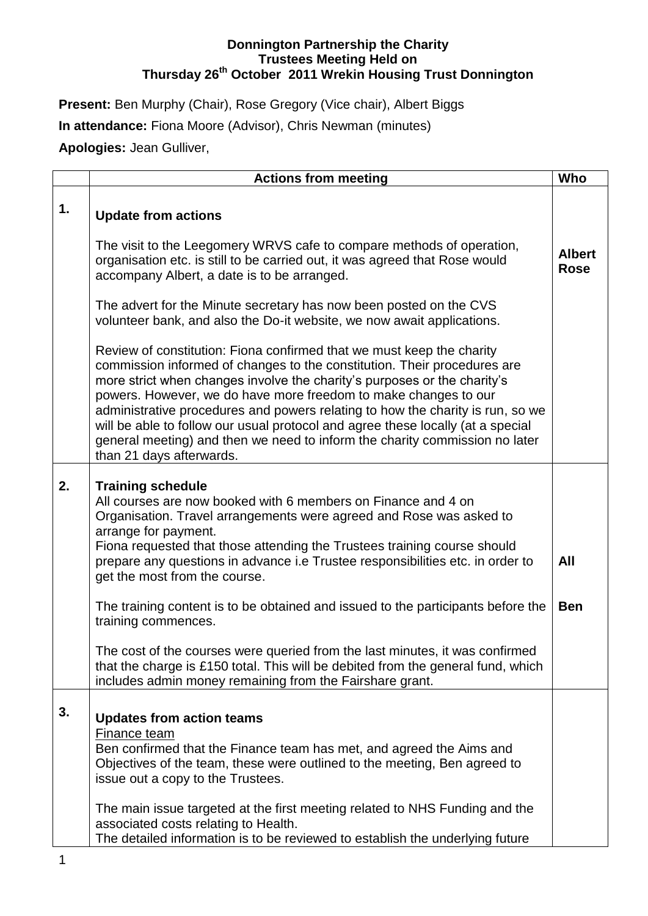## **Donnington Partnership the Charity Trustees Meeting Held on Thursday 26th October 2011 Wrekin Housing Trust Donnington**

Present: Ben Murphy (Chair), Rose Gregory (Vice chair), Albert Biggs **In attendance:** Fiona Moore (Advisor), Chris Newman (minutes) **Apologies:** Jean Gulliver,

|    | <b>Actions from meeting</b>                                                                                                                                                                                                                                                                                                                                                                                                                                                                                                                                                      | Who                          |
|----|----------------------------------------------------------------------------------------------------------------------------------------------------------------------------------------------------------------------------------------------------------------------------------------------------------------------------------------------------------------------------------------------------------------------------------------------------------------------------------------------------------------------------------------------------------------------------------|------------------------------|
| 1. | <b>Update from actions</b>                                                                                                                                                                                                                                                                                                                                                                                                                                                                                                                                                       |                              |
|    | The visit to the Leegomery WRVS cafe to compare methods of operation,<br>organisation etc. is still to be carried out, it was agreed that Rose would<br>accompany Albert, a date is to be arranged.                                                                                                                                                                                                                                                                                                                                                                              | <b>Albert</b><br><b>Rose</b> |
|    | The advert for the Minute secretary has now been posted on the CVS<br>volunteer bank, and also the Do-it website, we now await applications.                                                                                                                                                                                                                                                                                                                                                                                                                                     |                              |
|    | Review of constitution: Fiona confirmed that we must keep the charity<br>commission informed of changes to the constitution. Their procedures are<br>more strict when changes involve the charity's purposes or the charity's<br>powers. However, we do have more freedom to make changes to our<br>administrative procedures and powers relating to how the charity is run, so we<br>will be able to follow our usual protocol and agree these locally (at a special<br>general meeting) and then we need to inform the charity commission no later<br>than 21 days afterwards. |                              |
| 2. | <b>Training schedule</b><br>All courses are now booked with 6 members on Finance and 4 on<br>Organisation. Travel arrangements were agreed and Rose was asked to<br>arrange for payment.<br>Fiona requested that those attending the Trustees training course should<br>prepare any questions in advance i.e Trustee responsibilities etc. in order to<br>get the most from the course.                                                                                                                                                                                          | All                          |
|    | The training content is to be obtained and issued to the participants before the<br>training commences.                                                                                                                                                                                                                                                                                                                                                                                                                                                                          | <b>Ben</b>                   |
|    | The cost of the courses were queried from the last minutes, it was confirmed<br>that the charge is £150 total. This will be debited from the general fund, which<br>includes admin money remaining from the Fairshare grant.                                                                                                                                                                                                                                                                                                                                                     |                              |
| 3. | <b>Updates from action teams</b><br>Finance team<br>Ben confirmed that the Finance team has met, and agreed the Aims and<br>Objectives of the team, these were outlined to the meeting, Ben agreed to<br>issue out a copy to the Trustees.<br>The main issue targeted at the first meeting related to NHS Funding and the                                                                                                                                                                                                                                                        |                              |
|    | associated costs relating to Health.<br>The detailed information is to be reviewed to establish the underlying future                                                                                                                                                                                                                                                                                                                                                                                                                                                            |                              |